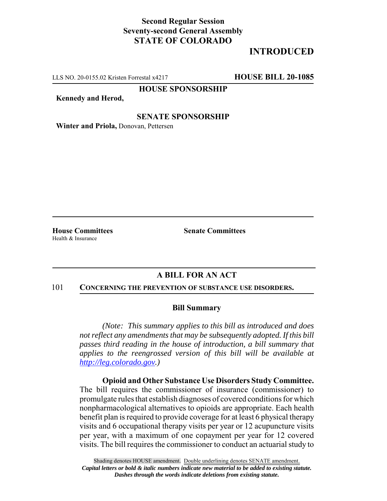## **Second Regular Session Seventy-second General Assembly STATE OF COLORADO**

# **INTRODUCED**

LLS NO. 20-0155.02 Kristen Forrestal x4217 **HOUSE BILL 20-1085**

**HOUSE SPONSORSHIP**

**Kennedy and Herod,**

### **SENATE SPONSORSHIP**

**Winter and Priola,** Donovan, Pettersen

Health & Insurance

**House Committees Senate Committees** 

## **A BILL FOR AN ACT**

#### 101 **CONCERNING THE PREVENTION OF SUBSTANCE USE DISORDERS.**

### **Bill Summary**

*(Note: This summary applies to this bill as introduced and does not reflect any amendments that may be subsequently adopted. If this bill passes third reading in the house of introduction, a bill summary that applies to the reengrossed version of this bill will be available at http://leg.colorado.gov.)*

**Opioid and Other Substance Use Disorders Study Committee.** The bill requires the commissioner of insurance (commissioner) to promulgate rules that establish diagnoses of covered conditions for which nonpharmacological alternatives to opioids are appropriate. Each health benefit plan is required to provide coverage for at least 6 physical therapy visits and 6 occupational therapy visits per year or 12 acupuncture visits per year, with a maximum of one copayment per year for 12 covered visits. The bill requires the commissioner to conduct an actuarial study to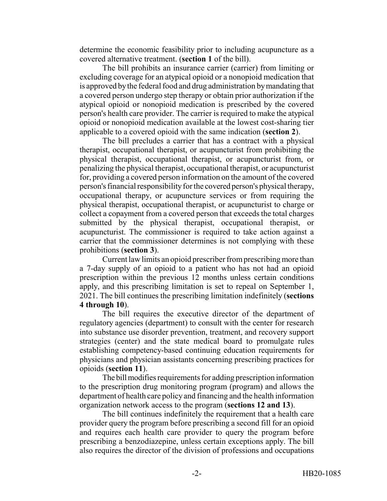determine the economic feasibility prior to including acupuncture as a covered alternative treatment. (**section 1** of the bill).

The bill prohibits an insurance carrier (carrier) from limiting or excluding coverage for an atypical opioid or a nonopioid medication that is approved by the federal food and drug administration by mandating that a covered person undergo step therapy or obtain prior authorization if the atypical opioid or nonopioid medication is prescribed by the covered person's health care provider. The carrier is required to make the atypical opioid or nonopioid medication available at the lowest cost-sharing tier applicable to a covered opioid with the same indication (**section 2**).

The bill precludes a carrier that has a contract with a physical therapist, occupational therapist, or acupuncturist from prohibiting the physical therapist, occupational therapist, or acupuncturist from, or penalizing the physical therapist, occupational therapist, or acupuncturist for, providing a covered person information on the amount of the covered person's financial responsibility for the covered person's physical therapy, occupational therapy, or acupuncture services or from requiring the physical therapist, occupational therapist, or acupuncturist to charge or collect a copayment from a covered person that exceeds the total charges submitted by the physical therapist, occupational therapist, or acupuncturist. The commissioner is required to take action against a carrier that the commissioner determines is not complying with these prohibitions (**section 3**).

Current law limits an opioid prescriber from prescribing more than a 7-day supply of an opioid to a patient who has not had an opioid prescription within the previous 12 months unless certain conditions apply, and this prescribing limitation is set to repeal on September 1, 2021. The bill continues the prescribing limitation indefinitely (**sections 4 through 10**).

The bill requires the executive director of the department of regulatory agencies (department) to consult with the center for research into substance use disorder prevention, treatment, and recovery support strategies (center) and the state medical board to promulgate rules establishing competency-based continuing education requirements for physicians and physician assistants concerning prescribing practices for opioids (**section 11**).

The bill modifies requirements for adding prescription information to the prescription drug monitoring program (program) and allows the department of health care policy and financing and the health information organization network access to the program (**sections 12 and 13**).

The bill continues indefinitely the requirement that a health care provider query the program before prescribing a second fill for an opioid and requires each health care provider to query the program before prescribing a benzodiazepine, unless certain exceptions apply. The bill also requires the director of the division of professions and occupations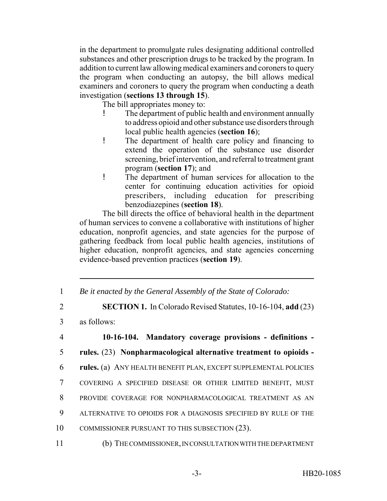in the department to promulgate rules designating additional controlled substances and other prescription drugs to be tracked by the program. In addition to current law allowing medical examiners and coroners to query the program when conducting an autopsy, the bill allows medical examiners and coroners to query the program when conducting a death investigation (**sections 13 through 15**).

The bill appropriates money to:

- The department of public health and environment annually to address opioid and other substance use disorders through local public health agencies (**section 16**);
- ! The department of health care policy and financing to extend the operation of the substance use disorder screening, brief intervention, and referral to treatment grant program (**section 17**); and
- ! The department of human services for allocation to the center for continuing education activities for opioid prescribers, including education for prescribing benzodiazepines (**section 18**).

The bill directs the office of behavioral health in the department of human services to convene a collaborative with institutions of higher education, nonprofit agencies, and state agencies for the purpose of gathering feedback from local public health agencies, institutions of higher education, nonprofit agencies, and state agencies concerning evidence-based prevention practices (**section 19**).

- 1 *Be it enacted by the General Assembly of the State of Colorado:*
- 2 **SECTION 1.** In Colorado Revised Statutes, 10-16-104, **add** (23)
- 3 as follows:
- 4 **10-16-104. Mandatory coverage provisions definitions -** 5 **rules.** (23) **Nonpharmacological alternative treatment to opioids -** 6 **rules.** (a) ANY HEALTH BENEFIT PLAN, EXCEPT SUPPLEMENTAL POLICIES 7 COVERING A SPECIFIED DISEASE OR OTHER LIMITED BENEFIT, MUST 8 PROVIDE COVERAGE FOR NONPHARMACOLOGICAL TREATMENT AS AN 9 ALTERNATIVE TO OPIOIDS FOR A DIAGNOSIS SPECIFIED BY RULE OF THE 10 COMMISSIONER PURSUANT TO THIS SUBSECTION (23). 11 (b) THE COMMISSIONER, IN CONSULTATION WITH THE DEPARTMENT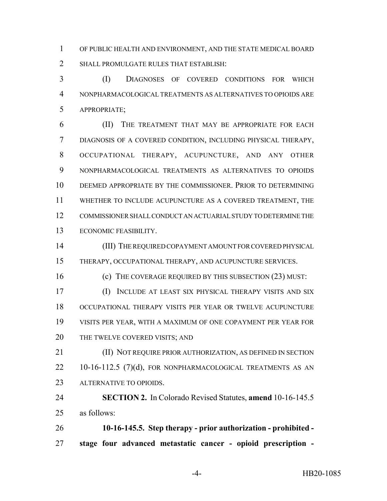OF PUBLIC HEALTH AND ENVIRONMENT, AND THE STATE MEDICAL BOARD SHALL PROMULGATE RULES THAT ESTABLISH:

 (I) DIAGNOSES OF COVERED CONDITIONS FOR WHICH NONPHARMACOLOGICAL TREATMENTS AS ALTERNATIVES TO OPIOIDS ARE APPROPRIATE;

 (II) THE TREATMENT THAT MAY BE APPROPRIATE FOR EACH DIAGNOSIS OF A COVERED CONDITION, INCLUDING PHYSICAL THERAPY, OCCUPATIONAL THERAPY, ACUPUNCTURE, AND ANY OTHER NONPHARMACOLOGICAL TREATMENTS AS ALTERNATIVES TO OPIOIDS DEEMED APPROPRIATE BY THE COMMISSIONER. PRIOR TO DETERMINING WHETHER TO INCLUDE ACUPUNCTURE AS A COVERED TREATMENT, THE COMMISSIONER SHALL CONDUCT AN ACTUARIAL STUDY TO DETERMINE THE ECONOMIC FEASIBILITY.

 (III) THE REQUIRED COPAYMENT AMOUNT FOR COVERED PHYSICAL THERAPY, OCCUPATIONAL THERAPY, AND ACUPUNCTURE SERVICES.

(c) THE COVERAGE REQUIRED BY THIS SUBSECTION (23) MUST:

 (I) INCLUDE AT LEAST SIX PHYSICAL THERAPY VISITS AND SIX OCCUPATIONAL THERAPY VISITS PER YEAR OR TWELVE ACUPUNCTURE VISITS PER YEAR, WITH A MAXIMUM OF ONE COPAYMENT PER YEAR FOR 20 THE TWELVE COVERED VISITS; AND

 (II) NOT REQUIRE PRIOR AUTHORIZATION, AS DEFINED IN SECTION 22 10-16-112.5 (7)(d), FOR NONPHARMACOLOGICAL TREATMENTS AS AN ALTERNATIVE TO OPIOIDS.

 **SECTION 2.** In Colorado Revised Statutes, **amend** 10-16-145.5 as follows:

 **10-16-145.5. Step therapy - prior authorization - prohibited - stage four advanced metastatic cancer - opioid prescription -**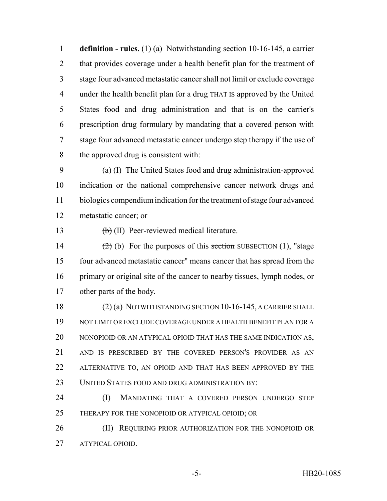**definition - rules.** (1) (a) Notwithstanding section 10-16-145, a carrier 2 that provides coverage under a health benefit plan for the treatment of stage four advanced metastatic cancer shall not limit or exclude coverage under the health benefit plan for a drug THAT IS approved by the United States food and drug administration and that is on the carrier's prescription drug formulary by mandating that a covered person with stage four advanced metastatic cancer undergo step therapy if the use of the approved drug is consistent with:

 $(a)$  (I) The United States food and drug administration-approved indication or the national comprehensive cancer network drugs and biologics compendium indication for the treatment of stage four advanced metastatic cancer; or

13 <del>(b)</del> (II) Peer-reviewed medical literature.

 $(2)$  (b) For the purposes of this section SUBSECTION (1), "stage four advanced metastatic cancer" means cancer that has spread from the primary or original site of the cancer to nearby tissues, lymph nodes, or other parts of the body.

18 (2) (a) NOTWITHSTANDING SECTION 10-16-145, A CARRIER SHALL NOT LIMIT OR EXCLUDE COVERAGE UNDER A HEALTH BENEFIT PLAN FOR A NONOPIOID OR AN ATYPICAL OPIOID THAT HAS THE SAME INDICATION AS, AND IS PRESCRIBED BY THE COVERED PERSON'S PROVIDER AS AN 22 ALTERNATIVE TO, AN OPIOID AND THAT HAS BEEN APPROVED BY THE UNITED STATES FOOD AND DRUG ADMINISTRATION BY:

 (I) MANDATING THAT A COVERED PERSON UNDERGO STEP THERAPY FOR THE NONOPIOID OR ATYPICAL OPIOID; OR

**(II) REQUIRING PRIOR AUTHORIZATION FOR THE NONOPIOID OR** ATYPICAL OPIOID.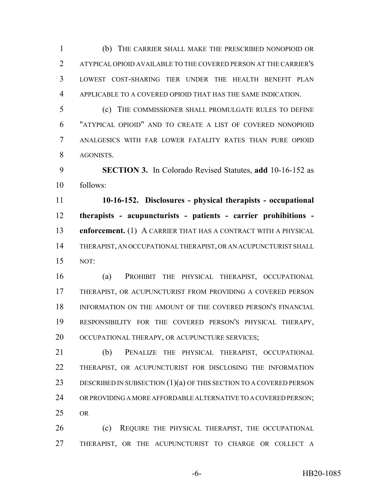(b) THE CARRIER SHALL MAKE THE PRESCRIBED NONOPIOID OR ATYPICAL OPIOID AVAILABLE TO THE COVERED PERSON AT THE CARRIER'S LOWEST COST-SHARING TIER UNDER THE HEALTH BENEFIT PLAN APPLICABLE TO A COVERED OPIOID THAT HAS THE SAME INDICATION.

 (c) THE COMMISSIONER SHALL PROMULGATE RULES TO DEFINE "ATYPICAL OPIOID" AND TO CREATE A LIST OF COVERED NONOPIOID ANALGESICS WITH FAR LOWER FATALITY RATES THAN PURE OPIOID AGONISTS.

 **SECTION 3.** In Colorado Revised Statutes, **add** 10-16-152 as follows:

 **10-16-152. Disclosures - physical therapists - occupational therapists - acupuncturists - patients - carrier prohibitions - enforcement.** (1) A CARRIER THAT HAS A CONTRACT WITH A PHYSICAL THERAPIST, AN OCCUPATIONAL THERAPIST, OR AN ACUPUNCTURIST SHALL NOT:

 (a) PROHIBIT THE PHYSICAL THERAPIST, OCCUPATIONAL THERAPIST, OR ACUPUNCTURIST FROM PROVIDING A COVERED PERSON INFORMATION ON THE AMOUNT OF THE COVERED PERSON'S FINANCIAL RESPONSIBILITY FOR THE COVERED PERSON'S PHYSICAL THERAPY, 20 OCCUPATIONAL THERAPY, OR ACUPUNCTURE SERVICES;

 (b) PENALIZE THE PHYSICAL THERAPIST, OCCUPATIONAL THERAPIST, OR ACUPUNCTURIST FOR DISCLOSING THE INFORMATION 23 DESCRIBED IN SUBSECTION (1)(a) OF THIS SECTION TO A COVERED PERSON OR PROVIDING A MORE AFFORDABLE ALTERNATIVE TO A COVERED PERSON; OR

**(c)** REQUIRE THE PHYSICAL THERAPIST, THE OCCUPATIONAL THERAPIST, OR THE ACUPUNCTURIST TO CHARGE OR COLLECT A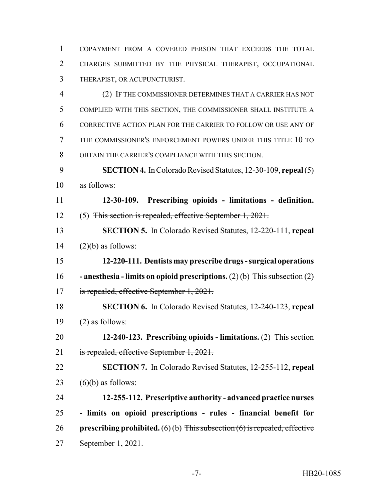COPAYMENT FROM A COVERED PERSON THAT EXCEEDS THE TOTAL CHARGES SUBMITTED BY THE PHYSICAL THERAPIST, OCCUPATIONAL THERAPIST, OR ACUPUNCTURIST.

 (2) IF THE COMMISSIONER DETERMINES THAT A CARRIER HAS NOT COMPLIED WITH THIS SECTION, THE COMMISSIONER SHALL INSTITUTE A CORRECTIVE ACTION PLAN FOR THE CARRIER TO FOLLOW OR USE ANY OF THE COMMISSIONER'S ENFORCEMENT POWERS UNDER THIS TITLE 10 TO OBTAIN THE CARRIER'S COMPLIANCE WITH THIS SECTION.

 **SECTION 4.** In Colorado Revised Statutes, 12-30-109, **repeal** (5) as follows:

 **12-30-109. Prescribing opioids - limitations - definition.** (5) This section is repealed, effective September 1, 2021.

 **SECTION 5.** In Colorado Revised Statutes, 12-220-111, **repeal** (2)(b) as follows:

 **12-220-111. Dentists may prescribe drugs - surgical operations - anesthesia - limits on opioid prescriptions.** (2) (b) This subsection (2) is repealed, effective September 1, 2021.

 **SECTION 6.** In Colorado Revised Statutes, 12-240-123, **repeal** (2) as follows:

 **12-240-123. Prescribing opioids - limitations.** (2) This section is repealed, effective September 1, 2021.

**SECTION 7.** In Colorado Revised Statutes, 12-255-112, **repeal**

23  $(6)(b)$  as follows:

 **12-255-112. Prescriptive authority - advanced practice nurses - limits on opioid prescriptions - rules - financial benefit for prescribing prohibited.** (6) (b) This subsection (6) is repealed, effective September 1, 2021.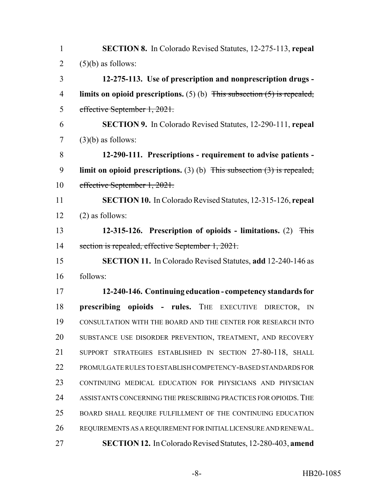| $\mathbf{1}$   | <b>SECTION 8.</b> In Colorado Revised Statutes, 12-275-113, repeal           |
|----------------|------------------------------------------------------------------------------|
| $\overline{2}$ | $(5)(b)$ as follows:                                                         |
| 3              | 12-275-113. Use of prescription and nonprescription drugs -                  |
| $\overline{4}$ | limits on opioid prescriptions. $(5)$ (b) This subsection $(5)$ is repealed, |
| 5              | effective September 1, 2021.                                                 |
| 6              | <b>SECTION 9.</b> In Colorado Revised Statutes, 12-290-111, repeal           |
| $\tau$         | $(3)(b)$ as follows:                                                         |
| 8              | 12-290-111. Prescriptions - requirement to advise patients -                 |
| 9              | limit on opioid prescriptions. (3) (b) This subsection $(3)$ is repealed,    |
| 10             | effective September 1, 2021.                                                 |
| 11             | <b>SECTION 10.</b> In Colorado Revised Statutes, 12-315-126, repeal          |
| 12             | $(2)$ as follows:                                                            |
| 13             | 12-315-126. Prescription of opioids - limitations. (2)<br><b>This</b>        |
| 14             | section is repealed, effective September 1, 2021.                            |
| 15             | <b>SECTION 11.</b> In Colorado Revised Statutes, add 12-240-146 as           |
| 16             | follows:                                                                     |
| 17             | 12-240-146. Continuing education - competency standards for                  |
| 18             | prescribing opioids - rules. THE EXECUTIVE<br>DIRECTOR,<br>$\mathbb{N}$      |
| 19             | CONSULTATION WITH THE BOARD AND THE CENTER FOR RESEARCH INTO                 |
| 20             | SUBSTANCE USE DISORDER PREVENTION, TREATMENT, AND RECOVERY                   |
| 21             | SUPPORT STRATEGIES ESTABLISHED IN SECTION 27-80-118, SHALL                   |
| 22             | PROMULGATE RULES TO ESTABLISH COMPETENCY-BASED STANDARDS FOR                 |
| 23             | CONTINUING MEDICAL EDUCATION FOR PHYSICIANS AND PHYSICIAN                    |
| 24             | ASSISTANTS CONCERNING THE PRESCRIBING PRACTICES FOR OPIOIDS. THE             |
| 25             | BOARD SHALL REQUIRE FULFILLMENT OF THE CONTINUING EDUCATION                  |
| 26             | REQUIREMENTS AS A REQUIREMENT FOR INITIAL LICENSURE AND RENEWAL.             |
| 27             | <b>SECTION 12.</b> In Colorado Revised Statutes, 12-280-403, amend           |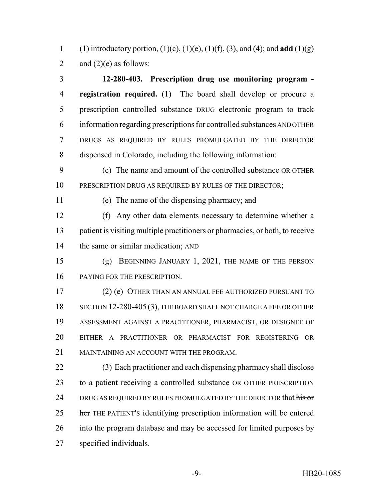(1) introductory portion, (1)(c), (1)(e), (1)(f), (3), and (4); and **add** (1)(g) 2 and  $(2)(e)$  as follows:

 **12-280-403. Prescription drug use monitoring program - registration required.** (1) The board shall develop or procure a 5 prescription controlled substance DRUG electronic program to track information regarding prescriptions for controlled substances AND OTHER DRUGS AS REQUIRED BY RULES PROMULGATED BY THE DIRECTOR dispensed in Colorado, including the following information:

 (c) The name and amount of the controlled substance OR OTHER 10 PRESCRIPTION DRUG AS REQUIRED BY RULES OF THE DIRECTOR;

(e) The name of the dispensing pharmacy; and

 (f) Any other data elements necessary to determine whether a patient is visiting multiple practitioners or pharmacies, or both, to receive 14 the same or similar medication; AND

 (g) BEGINNING JANUARY 1, 2021, THE NAME OF THE PERSON PAYING FOR THE PRESCRIPTION.

 (2) (e) OTHER THAN AN ANNUAL FEE AUTHORIZED PURSUANT TO 18 SECTION 12-280-405 (3), THE BOARD SHALL NOT CHARGE A FEE OR OTHER ASSESSMENT AGAINST A PRACTITIONER, PHARMACIST, OR DESIGNEE OF EITHER A PRACTITIONER OR PHARMACIST FOR REGISTERING OR MAINTAINING AN ACCOUNT WITH THE PROGRAM.

 (3) Each practitioner and each dispensing pharmacy shall disclose to a patient receiving a controlled substance OR OTHER PRESCRIPTION 24 DRUG AS REQUIRED BY RULES PROMULGATED BY THE DIRECTOR that his or 25 her THE PATIENT's identifying prescription information will be entered into the program database and may be accessed for limited purposes by specified individuals.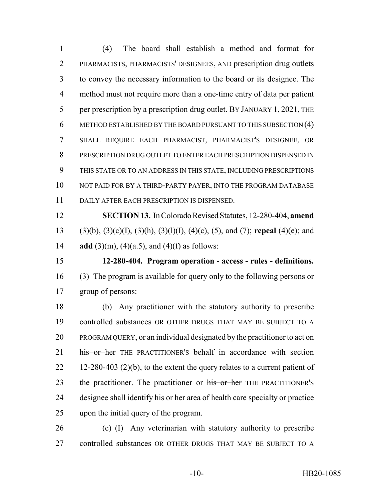(4) The board shall establish a method and format for PHARMACISTS, PHARMACISTS' DESIGNEES, AND prescription drug outlets to convey the necessary information to the board or its designee. The method must not require more than a one-time entry of data per patient 5 per prescription by a prescription drug outlet. BY JANUARY 1, 2021, THE METHOD ESTABLISHED BY THE BOARD PURSUANT TO THIS SUBSECTION (4) SHALL REQUIRE EACH PHARMACIST, PHARMACIST'S DESIGNEE, OR PRESCRIPTION DRUG OUTLET TO ENTER EACH PRESCRIPTION DISPENSED IN THIS STATE OR TO AN ADDRESS IN THIS STATE, INCLUDING PRESCRIPTIONS 10 NOT PAID FOR BY A THIRD-PARTY PAYER, INTO THE PROGRAM DATABASE DAILY AFTER EACH PRESCRIPTION IS DISPENSED.

 **SECTION 13.** In Colorado Revised Statutes, 12-280-404, **amend** (3)(b), (3)(c)(I), (3)(h), (3)(l)(I), (4)(c), (5), and (7); **repeal** (4)(e); and **add** (3)(m), (4)(a.5), and (4)(f) as follows:

 **12-280-404. Program operation - access - rules - definitions.** (3) The program is available for query only to the following persons or group of persons:

 (b) Any practitioner with the statutory authority to prescribe controlled substances OR OTHER DRUGS THAT MAY BE SUBJECT TO A PROGRAM QUERY, or an individual designated by the practitioner to act on 21 his or her THE PRACTITIONER's behalf in accordance with section 22 12-280-403 (2)(b), to the extent the query relates to a current patient of 23 the practitioner. The practitioner or his or her THE PRACTITIONER's designee shall identify his or her area of health care specialty or practice upon the initial query of the program.

 (c) (I) Any veterinarian with statutory authority to prescribe 27 controlled substances OR OTHER DRUGS THAT MAY BE SUBJECT TO A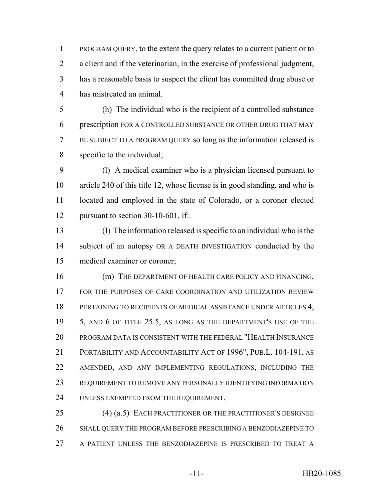PROGRAM QUERY, to the extent the query relates to a current patient or to a client and if the veterinarian, in the exercise of professional judgment, has a reasonable basis to suspect the client has committed drug abuse or has mistreated an animal.

 (h) The individual who is the recipient of a controlled substance prescription FOR A CONTROLLED SUBSTANCE OR OTHER DRUG THAT MAY BE SUBJECT TO A PROGRAM QUERY so long as the information released is specific to the individual;

 (l) A medical examiner who is a physician licensed pursuant to article 240 of this title 12, whose license is in good standing, and who is located and employed in the state of Colorado, or a coroner elected 12 pursuant to section 30-10-601, if:

 (I) The information released is specific to an individual who is the subject of an autopsy OR A DEATH INVESTIGATION conducted by the medical examiner or coroner;

16 (m) THE DEPARTMENT OF HEALTH CARE POLICY AND FINANCING, 17 FOR THE PURPOSES OF CARE COORDINATION AND UTILIZATION REVIEW 18 PERTAINING TO RECIPIENTS OF MEDICAL ASSISTANCE UNDER ARTICLES 4, 5, AND 6 OF TITLE 25.5, AS LONG AS THE DEPARTMENT'S USE OF THE PROGRAM DATA IS CONSISTENT WITH THE FEDERAL "HEALTH INSURANCE PORTABILITY AND ACCOUNTABILITY ACT OF 1996", PUB.L. 104-191, AS AMENDED, AND ANY IMPLEMENTING REGULATIONS, INCLUDING THE REQUIREMENT TO REMOVE ANY PERSONALLY IDENTIFYING INFORMATION UNLESS EXEMPTED FROM THE REQUIREMENT.

 (4) (a.5) EACH PRACTITIONER OR THE PRACTITIONER'S DESIGNEE SHALL QUERY THE PROGRAM BEFORE PRESCRIBING A BENZODIAZEPINE TO A PATIENT UNLESS THE BENZODIAZEPINE IS PRESCRIBED TO TREAT A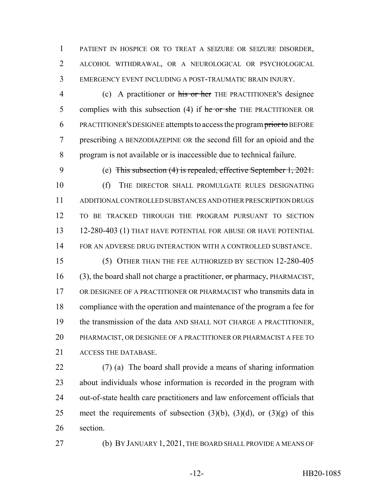PATIENT IN HOSPICE OR TO TREAT A SEIZURE OR SEIZURE DISORDER, ALCOHOL WITHDRAWAL, OR A NEUROLOGICAL OR PSYCHOLOGICAL EMERGENCY EVENT INCLUDING A POST-TRAUMATIC BRAIN INJURY.

4 (c) A practitioner or his or her THE PRACTITIONER's designee 5 complies with this subsection  $(4)$  if he or she THE PRACTITIONER OR 6 PRACTITIONER'S DESIGNEE attempts to access the program prior to BEFORE prescribing A BENZODIAZEPINE OR the second fill for an opioid and the program is not available or is inaccessible due to technical failure.

 (e) This subsection (4) is repealed, effective September 1, 2021. (f) THE DIRECTOR SHALL PROMULGATE RULES DESIGNATING ADDITIONAL CONTROLLED SUBSTANCES AND OTHER PRESCRIPTION DRUGS TO BE TRACKED THROUGH THE PROGRAM PURSUANT TO SECTION 12-280-403 (1) THAT HAVE POTENTIAL FOR ABUSE OR HAVE POTENTIAL FOR AN ADVERSE DRUG INTERACTION WITH A CONTROLLED SUBSTANCE. (5) OTHER THAN THE FEE AUTHORIZED BY SECTION 12-280-405 (3), the board shall not charge a practitioner, or pharmacy, PHARMACIST, OR DESIGNEE OF A PRACTITIONER OR PHARMACIST who transmits data in compliance with the operation and maintenance of the program a fee for the transmission of the data AND SHALL NOT CHARGE A PRACTITIONER, PHARMACIST, OR DESIGNEE OF A PRACTITIONER OR PHARMACIST A FEE TO ACCESS THE DATABASE.

 (7) (a) The board shall provide a means of sharing information about individuals whose information is recorded in the program with out-of-state health care practitioners and law enforcement officials that 25 meet the requirements of subsection  $(3)(b)$ ,  $(3)(d)$ , or  $(3)(g)$  of this section.

(b) BY JANUARY 1, 2021, THE BOARD SHALL PROVIDE A MEANS OF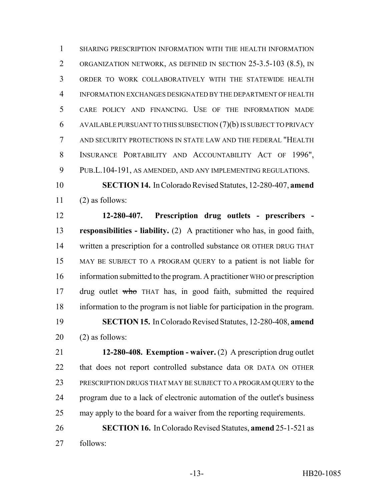SHARING PRESCRIPTION INFORMATION WITH THE HEALTH INFORMATION ORGANIZATION NETWORK, AS DEFINED IN SECTION 25-3.5-103 (8.5), IN ORDER TO WORK COLLABORATIVELY WITH THE STATEWIDE HEALTH INFORMATION EXCHANGES DESIGNATED BY THE DEPARTMENT OF HEALTH CARE POLICY AND FINANCING. USE OF THE INFORMATION MADE AVAILABLE PURSUANT TO THIS SUBSECTION (7)(b) IS SUBJECT TO PRIVACY AND SECURITY PROTECTIONS IN STATE LAW AND THE FEDERAL "HEALTH INSURANCE PORTABILITY AND ACCOUNTABILITY ACT OF 1996", PUB.L.104-191, AS AMENDED, AND ANY IMPLEMENTING REGULATIONS.

 **SECTION 14.** In Colorado Revised Statutes, 12-280-407, **amend** (2) as follows:

 **12-280-407. Prescription drug outlets - prescribers - responsibilities - liability.** (2) A practitioner who has, in good faith, written a prescription for a controlled substance OR OTHER DRUG THAT MAY BE SUBJECT TO A PROGRAM QUERY to a patient is not liable for information submitted to the program. A practitioner WHO or prescription 17 drug outlet who THAT has, in good faith, submitted the required information to the program is not liable for participation in the program. **SECTION 15.** In Colorado Revised Statutes, 12-280-408, **amend** (2) as follows:

 **12-280-408. Exemption - waiver.** (2) A prescription drug outlet that does not report controlled substance data OR DATA ON OTHER PRESCRIPTION DRUGS THAT MAY BE SUBJECT TO A PROGRAM QUERY to the program due to a lack of electronic automation of the outlet's business may apply to the board for a waiver from the reporting requirements.

 **SECTION 16.** In Colorado Revised Statutes, **amend** 25-1-521 as follows: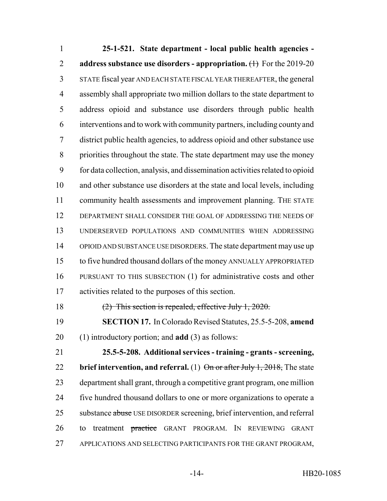**25-1-521. State department - local public health agencies - address substance use disorders - appropriation.** (1) For the 2019-20 STATE fiscal year AND EACH STATE FISCAL YEAR THEREAFTER, the general assembly shall appropriate two million dollars to the state department to address opioid and substance use disorders through public health interventions and to work with community partners, including county and district public health agencies, to address opioid and other substance use priorities throughout the state. The state department may use the money for data collection, analysis, and dissemination activities related to opioid and other substance use disorders at the state and local levels, including 11 community health assessments and improvement planning. THE STATE DEPARTMENT SHALL CONSIDER THE GOAL OF ADDRESSING THE NEEDS OF UNDERSERVED POPULATIONS AND COMMUNITIES WHEN ADDRESSING OPIOID AND SUBSTANCE USE DISORDERS. The state department may use up to five hundred thousand dollars of the money ANNUALLY APPROPRIATED PURSUANT TO THIS SUBSECTION (1) for administrative costs and other activities related to the purposes of this section. (2) This section is repealed, effective July 1, 2020.

 **SECTION 17.** In Colorado Revised Statutes, 25.5-5-208, **amend** (1) introductory portion; and **add** (3) as follows:

 **25.5-5-208. Additional services - training - grants - screening, brief intervention, and referral.** (1) On or after July 1, 2018, The state department shall grant, through a competitive grant program, one million five hundred thousand dollars to one or more organizations to operate a 25 substance abuse USE DISORDER screening, brief intervention, and referral 26 to treatment practice GRANT PROGRAM. IN REVIEWING GRANT APPLICATIONS AND SELECTING PARTICIPANTS FOR THE GRANT PROGRAM,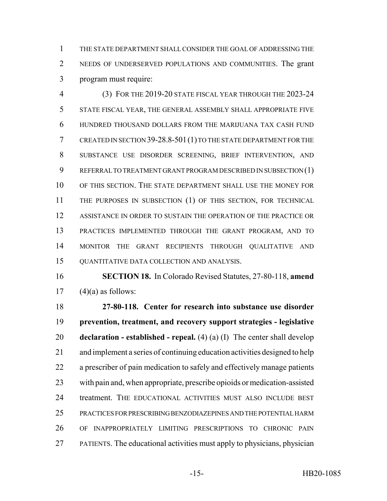THE STATE DEPARTMENT SHALL CONSIDER THE GOAL OF ADDRESSING THE NEEDS OF UNDERSERVED POPULATIONS AND COMMUNITIES. The grant program must require:

 (3) FOR THE 2019-20 STATE FISCAL YEAR THROUGH THE 2023-24 STATE FISCAL YEAR, THE GENERAL ASSEMBLY SHALL APPROPRIATE FIVE HUNDRED THOUSAND DOLLARS FROM THE MARIJUANA TAX CASH FUND CREATED IN SECTION 39-28.8-501(1) TO THE STATE DEPARTMENT FOR THE SUBSTANCE USE DISORDER SCREENING, BRIEF INTERVENTION, AND REFERRAL TO TREATMENT GRANT PROGRAM DESCRIBED IN SUBSECTION (1) OF THIS SECTION. THE STATE DEPARTMENT SHALL USE THE MONEY FOR THE PURPOSES IN SUBSECTION (1) OF THIS SECTION, FOR TECHNICAL ASSISTANCE IN ORDER TO SUSTAIN THE OPERATION OF THE PRACTICE OR PRACTICES IMPLEMENTED THROUGH THE GRANT PROGRAM, AND TO MONITOR THE GRANT RECIPIENTS THROUGH QUALITATIVE AND QUANTITATIVE DATA COLLECTION AND ANALYSIS.

 **SECTION 18.** In Colorado Revised Statutes, 27-80-118, **amend** 17  $(4)(a)$  as follows:

 **27-80-118. Center for research into substance use disorder prevention, treatment, and recovery support strategies - legislative declaration - established - repeal.** (4) (a) (I) The center shall develop and implement a series of continuing education activities designed to help a prescriber of pain medication to safely and effectively manage patients with pain and, when appropriate, prescribe opioids or medication-assisted treatment. THE EDUCATIONAL ACTIVITIES MUST ALSO INCLUDE BEST PRACTICES FOR PRESCRIBING BENZODIAZEPINES AND THE POTENTIAL HARM OF INAPPROPRIATELY LIMITING PRESCRIPTIONS TO CHRONIC PAIN PATIENTS. The educational activities must apply to physicians, physician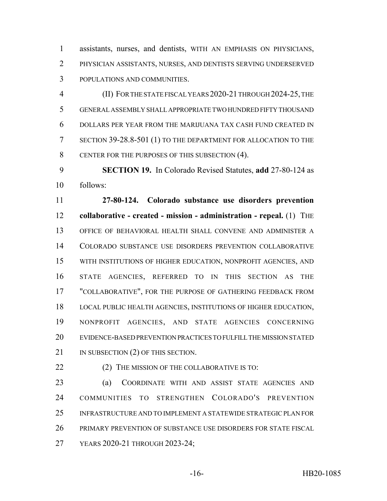assistants, nurses, and dentists, WITH AN EMPHASIS ON PHYSICIANS, PHYSICIAN ASSISTANTS, NURSES, AND DENTISTS SERVING UNDERSERVED POPULATIONS AND COMMUNITIES.

 (II) FOR THE STATE FISCAL YEARS 2020-21 THROUGH 2024-25, THE GENERAL ASSEMBLY SHALL APPROPRIATE TWO HUNDRED FIFTY THOUSAND DOLLARS PER YEAR FROM THE MARIJUANA TAX CASH FUND CREATED IN SECTION 39-28.8-501 (1) TO THE DEPARTMENT FOR ALLOCATION TO THE CENTER FOR THE PURPOSES OF THIS SUBSECTION (4).

 **SECTION 19.** In Colorado Revised Statutes, **add** 27-80-124 as follows:

 **27-80-124. Colorado substance use disorders prevention collaborative - created - mission - administration - repeal.** (1) THE OFFICE OF BEHAVIORAL HEALTH SHALL CONVENE AND ADMINISTER A COLORADO SUBSTANCE USE DISORDERS PREVENTION COLLABORATIVE WITH INSTITUTIONS OF HIGHER EDUCATION, NONPROFIT AGENCIES, AND STATE AGENCIES, REFERRED TO IN THIS SECTION AS THE "COLLABORATIVE", FOR THE PURPOSE OF GATHERING FEEDBACK FROM LOCAL PUBLIC HEALTH AGENCIES, INSTITUTIONS OF HIGHER EDUCATION, NONPROFIT AGENCIES, AND STATE AGENCIES CONCERNING EVIDENCE-BASED PREVENTION PRACTICES TO FULFILL THE MISSION STATED 21 IN SUBSECTION (2) OF THIS SECTION.

**(2) THE MISSION OF THE COLLABORATIVE IS TO:** 

 (a) COORDINATE WITH AND ASSIST STATE AGENCIES AND COMMUNITIES TO STRENGTHEN COLORADO'S PREVENTION INFRASTRUCTURE AND TO IMPLEMENT A STATEWIDE STRATEGIC PLAN FOR PRIMARY PREVENTION OF SUBSTANCE USE DISORDERS FOR STATE FISCAL YEARS 2020-21 THROUGH 2023-24;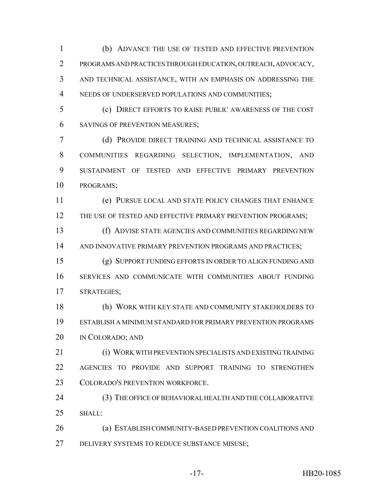(b) ADVANCE THE USE OF TESTED AND EFFECTIVE PREVENTION PROGRAMS AND PRACTICES THROUGH EDUCATION, OUTREACH, ADVOCACY, AND TECHNICAL ASSISTANCE, WITH AN EMPHASIS ON ADDRESSING THE NEEDS OF UNDERSERVED POPULATIONS AND COMMUNITIES;

 (c) DIRECT EFFORTS TO RAISE PUBLIC AWARENESS OF THE COST SAVINGS OF PREVENTION MEASURES;

 (d) PROVIDE DIRECT TRAINING AND TECHNICAL ASSISTANCE TO COMMUNITIES REGARDING SELECTION, IMPLEMENTATION, AND SUSTAINMENT OF TESTED AND EFFECTIVE PRIMARY PREVENTION PROGRAMS;

 (e) PURSUE LOCAL AND STATE POLICY CHANGES THAT ENHANCE 12 THE USE OF TESTED AND EFFECTIVE PRIMARY PREVENTION PROGRAMS;

 (f) ADVISE STATE AGENCIES AND COMMUNITIES REGARDING NEW AND INNOVATIVE PRIMARY PREVENTION PROGRAMS AND PRACTICES;

 (g) SUPPORT FUNDING EFFORTS IN ORDER TO ALIGN FUNDING AND SERVICES AND COMMUNICATE WITH COMMUNITIES ABOUT FUNDING STRATEGIES;

 (h) WORK WITH KEY STATE AND COMMUNITY STAKEHOLDERS TO ESTABLISH A MINIMUM STANDARD FOR PRIMARY PREVENTION PROGRAMS IN COLORADO; AND

 (i) WORK WITH PREVENTION SPECIALISTS AND EXISTING TRAINING AGENCIES TO PROVIDE AND SUPPORT TRAINING TO STRENGTHEN COLORADO'S PREVENTION WORKFORCE.

 (3) THE OFFICE OF BEHAVIORAL HEALTH AND THE COLLABORATIVE 25 SHALL:

 (a) ESTABLISH COMMUNITY-BASED PREVENTION COALITIONS AND DELIVERY SYSTEMS TO REDUCE SUBSTANCE MISUSE;